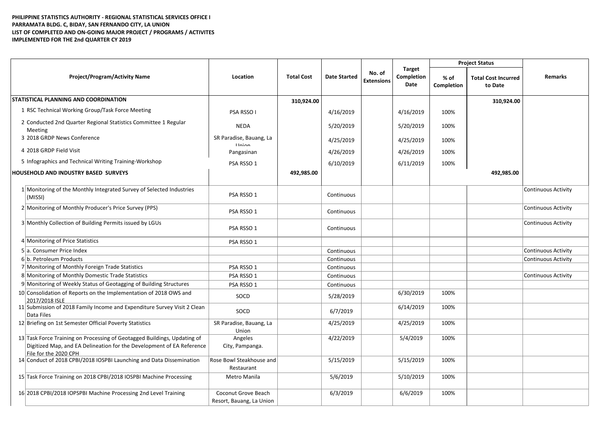## **PHILIPPINE STATISTICS AUTHORITY - REGIONAL STATISTICAL SERVICES OFFICE I PARRAMATA BLDG. C, BIDAY, SAN FERNANDO CITY, LA UNION LIST OF COMPLETED AND ON-GOING MAJOR PROJECT / PROGRAMS / ACTIVITES IMPLEMENTED FOR THE 2nd QUARTER CY 2019**

|                                                                                                                                                                            |                                                 |                   |                     |                             | <b>Target</b><br>Completion<br>Date | <b>Project Status</b> |                                       |                     |
|----------------------------------------------------------------------------------------------------------------------------------------------------------------------------|-------------------------------------------------|-------------------|---------------------|-----------------------------|-------------------------------------|-----------------------|---------------------------------------|---------------------|
| <b>Project/Program/Activity Name</b>                                                                                                                                       | Location                                        | <b>Total Cost</b> | <b>Date Started</b> | No. of<br><b>Extensions</b> |                                     | $%$ of<br>Completion  | <b>Total Cost Incurred</b><br>to Date | <b>Remarks</b>      |
| STATISTICAL PLANNING AND COORDINATION                                                                                                                                      |                                                 | 310,924.00        |                     |                             |                                     |                       | 310,924.00                            |                     |
| 1 RSC Technical Working Group/Task Force Meeting                                                                                                                           | PSA RSSO I                                      |                   | 4/16/2019           |                             | 4/16/2019                           | 100%                  |                                       |                     |
| 2 Conducted 2nd Quarter Regional Statistics Committee 1 Regular<br>Meeting                                                                                                 | <b>NEDA</b>                                     |                   | 5/20/2019           |                             | 5/20/2019                           | 100%                  |                                       |                     |
| 3 2018 GRDP News Conference                                                                                                                                                | SR Paradise, Bauang, La<br><b>Ilnion</b>        |                   | 4/25/2019           |                             | 4/25/2019                           | 100%                  |                                       |                     |
| 4 2018 GRDP Field Visit                                                                                                                                                    | Pangasinan                                      |                   | 4/26/2019           |                             | 4/26/2019                           | 100%                  |                                       |                     |
| 5 Infographics and Technical Writing Training-Workshop                                                                                                                     | PSA RSSO 1                                      |                   | 6/10/2019           |                             | 6/11/2019                           | 100%                  |                                       |                     |
| HOUSEHOLD AND INDUSTRY BASED SURVEYS                                                                                                                                       |                                                 | 492,985.00        |                     |                             |                                     |                       | 492,985.00                            |                     |
| 1 Monitoring of the Monthly Integrated Survey of Selected Industries<br>(MISSI)                                                                                            | PSA RSSO 1                                      |                   | Continuous          |                             |                                     |                       |                                       | Continuous Activity |
| 2 Monitoring of Monthly Producer's Price Survey (PPS)                                                                                                                      | PSA RSSO 1                                      |                   | Continuous          |                             |                                     |                       |                                       | Continuous Activity |
| 3 Monthly Collection of Building Permits issued by LGUs                                                                                                                    | PSA RSSO 1                                      |                   | Continuous          |                             |                                     |                       |                                       | Continuous Activity |
| 4 Monitoring of Price Statistics                                                                                                                                           | PSA RSSO 1                                      |                   |                     |                             |                                     |                       |                                       |                     |
| 5 a. Consumer Price Index                                                                                                                                                  |                                                 |                   | Continuous          |                             |                                     |                       |                                       | Continuous Activity |
| 6 b. Petroleum Products                                                                                                                                                    |                                                 |                   | Continuous          |                             |                                     |                       |                                       | Continuous Activity |
| 7 Monitoring of Monthly Foreign Trade Statistics                                                                                                                           | PSA RSSO 1                                      |                   | Continuous          |                             |                                     |                       |                                       |                     |
| 8 Monitoring of Monthly Domestic Trade Statistics                                                                                                                          | PSA RSSO 1                                      |                   | Continuous          |                             |                                     |                       |                                       | Continuous Activity |
| 9 Monitoring of Weekly Status of Geotagging of Building Structures                                                                                                         | PSA RSSO 1                                      |                   | Continuous          |                             |                                     |                       |                                       |                     |
| 10 Consolidation of Reports on the Implementation of 2018 OWS and<br>2017/2018 ISLE                                                                                        | SOCD                                            |                   | 5/28/2019           |                             | 6/30/2019                           | 100%                  |                                       |                     |
| 11 Submission of 2018 Family Income and Expenditure Survey Visit 2 Clean<br>Data Files                                                                                     | SOCD                                            |                   | 6/7/2019            |                             | 6/14/2019                           | 100%                  |                                       |                     |
| 12 Briefing on 1st Semester Official Poverty Statistics                                                                                                                    | SR Paradise, Bauang, La<br>Union                |                   | 4/25/2019           |                             | 4/25/2019                           | 100%                  |                                       |                     |
| 13 Task Force Training on Processing of Geotagged Buildings, Updating of<br>Digitized Map, and EA Delineation for the Development of EA Reference<br>File for the 2020 CPH | Angeles<br>City, Pampanga.                      |                   | 4/22/2019           |                             | 5/4/2019                            | 100%                  |                                       |                     |
| 14 Conduct of 2018 CPBI/2018 IOSPBI Launching and Data Dissemination                                                                                                       | Rose Bowl Steakhouse and<br>Restaurant          |                   | 5/15/2019           |                             | 5/15/2019                           | 100%                  |                                       |                     |
| 15 Task Force Training on 2018 CPBI/2018 IOSPBI Machine Processing                                                                                                         | Metro Manila                                    |                   | 5/6/2019            |                             | 5/10/2019                           | 100%                  |                                       |                     |
| 16 2018 CPBI/2018 IOPSPBI Machine Processing 2nd Level Training                                                                                                            | Coconut Grove Beach<br>Resort, Bauang, La Union |                   | 6/3/2019            |                             | 6/6/2019                            | 100%                  |                                       |                     |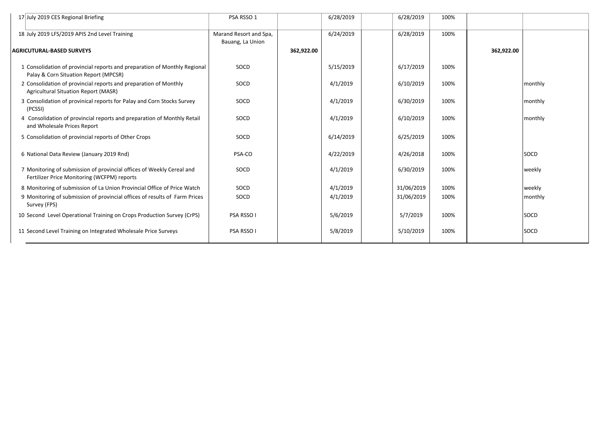| 17 July 2019 CES Regional Briefing                                                                                   | PSA RSSO 1                                 |            | 6/28/2019 | 6/28/2019  | 100% |            |         |
|----------------------------------------------------------------------------------------------------------------------|--------------------------------------------|------------|-----------|------------|------|------------|---------|
| 18 July 2019 LFS/2019 APIS 2nd Level Training                                                                        | Marand Resort and Spa,<br>Bauang, La Union |            | 6/24/2019 | 6/28/2019  | 100% |            |         |
| <b>AGRICUTURAL-BASED SURVEYS</b>                                                                                     |                                            | 362,922.00 |           |            |      | 362,922.00 |         |
| 1 Consolidation of provincial reports and preparation of Monthly Regional<br>Palay & Corn Situation Report (MPCSR)   | SOCD                                       |            | 5/15/2019 | 6/17/2019  | 100% |            |         |
| 2 Consolidation of provincial reports and preparation of Monthly<br><b>Agricultural Situation Report (MASR)</b>      | SOCD                                       |            | 4/1/2019  | 6/10/2019  | 100% |            | monthly |
| 3 Consolidation of provinical reports for Palay and Corn Stocks Survey<br>(PCSSI)                                    | SOCD                                       |            | 4/1/2019  | 6/30/2019  | 100% |            | monthly |
| 4 Consolidation of provincial reports and preparation of Monthly Retail<br>and Wholesale Prices Report               | SOCD                                       |            | 4/1/2019  | 6/10/2019  | 100% |            | monthly |
| 5 Consolidation of provincial reports of Other Crops                                                                 | SOCD                                       |            | 6/14/2019 | 6/25/2019  | 100% |            |         |
| 6 National Data Review (January 2019 Rnd)                                                                            | PSA-CO                                     |            | 4/22/2019 | 4/26/2018  | 100% |            | SOCD    |
| 7 Monitoring of submission of provincial offices of Weekly Cereal and<br>Fertilizer Price Monitoring (WCFPM) reports | SOCD                                       |            | 4/1/2019  | 6/30/2019  | 100% |            | weekly  |
| 8 Monitoring of submission of La Union Provincial Office of Price Watch                                              | SOCD                                       |            | 4/1/2019  | 31/06/2019 | 100% |            | weekly  |
| 9 Monitoring of submission of provincial offices of results of Farm Prices<br>Survey (FPS)                           | SOCD                                       |            | 4/1/2019  | 31/06/2019 | 100% |            | monthly |
| 10 Second Level Operational Training on Crops Production Survey (CrPS)                                               | PSA RSSO I                                 |            | 5/6/2019  | 5/7/2019   | 100% |            | SOCD    |
| 11 Second Level Training on Integrated Wholesale Price Surveys                                                       | PSA RSSO I                                 |            | 5/8/2019  | 5/10/2019  | 100% |            | SOCD    |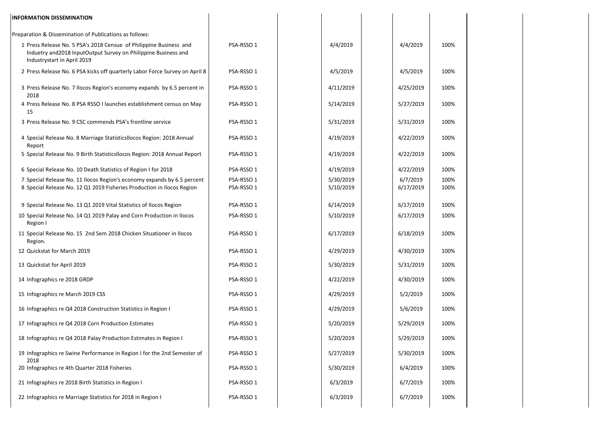| <b>INFORMATION DISSEMINATION</b>                                                                                                                                     |                          |                        |                       |              |  |
|----------------------------------------------------------------------------------------------------------------------------------------------------------------------|--------------------------|------------------------|-----------------------|--------------|--|
| Preparation & Dissemination of Publications as follows:                                                                                                              |                          |                        |                       |              |  |
| 1 Press Release No. 5 PSA's 2018 Censue of Philippine Business and<br>Induetry and 2018 InputOutput Survey on Philippine Business and<br>Industrystart in April 2019 | PSA-RSSO 1               | 4/4/2019               | 4/4/2019              | 100%         |  |
| 2 Press Release No. 6 PSA kicks off quarterly Labor Force Survey on April 8                                                                                          | PSA-RSSO 1               | 4/5/2019               | 4/5/2019              | 100%         |  |
| 3 Press Release No. 7 Ilocos Region's economy expands by 6.5 percent in<br>2018                                                                                      | PSA-RSSO 1               | 4/11/2019              | 4/25/2019             | 100%         |  |
| 4 Press Release No. 8 PSA RSSO I launches establishment census on May<br>15                                                                                          | PSA-RSSO 1               | 5/14/2019              | 5/27/2019             | 100%         |  |
| 3 Press Release No. 9 CSC commends PSA's frontline service                                                                                                           | PSA-RSSO 1               | 5/31/2019              | 5/31/2019             | 100%         |  |
| 4 Special Release No. 8 Marriage StatisticsIlocos Region: 2018 Annual<br>Report                                                                                      | PSA-RSSO 1               | 4/19/2019              | 4/22/2019             | 100%         |  |
| 5 Special Release No. 9 Birth Statisticsllocos Region: 2018 Annual Report                                                                                            | PSA-RSSO 1               | 4/19/2019              | 4/22/2019             | 100%         |  |
| 6 Special Release No. 10 Death Statistics of Region I for 2018                                                                                                       | PSA-RSSO 1               | 4/19/2019              | 4/22/2019             | 100%         |  |
| 7 Special Release No. 11 Ilocos Region's economy expands by 6.5 percent<br>8 Special Release No. 12 Q1 2019 Fisheries Production in Ilocos Region                    | PSA-RSSO 1<br>PSA-RSSO 1 | 5/30/2019<br>5/10/2019 | 6/7/2019<br>6/17/2019 | 100%<br>100% |  |
|                                                                                                                                                                      |                          |                        |                       |              |  |
| 9 Special Release No. 13 Q1 2019 Vital Statistics of Ilocos Region                                                                                                   | PSA-RSSO 1               | 6/14/2019              | 6/17/2019             | 100%         |  |
| 10 Special Release No. 14 Q1 2019 Palay and Corn Production in Ilocos<br>Region I                                                                                    | PSA-RSSO 1               | 5/10/2019              | 6/17/2019             | 100%         |  |
| 11 Special Release No. 15 2nd Sem 2018 Chicken Situationer in Ilocos<br>Region.                                                                                      | PSA-RSSO 1               | 6/17/2019              | 6/18/2019             | 100%         |  |
| 12 Quickstat for March 2019                                                                                                                                          | PSA-RSSO 1               | 4/29/2019              | 4/30/2019             | 100%         |  |
| 13 Quickstat for April 2019                                                                                                                                          | PSA-RSSO 1               | 5/30/2019              | 5/31/2019             | 100%         |  |
| 14 Infographics re 2018 GRDP                                                                                                                                         | PSA-RSSO 1               | 4/22/2019              | 4/30/2019             | 100%         |  |
| 15 Infographics re March 2019 CSS                                                                                                                                    | PSA-RSSO 1               | 4/29/2019              | 5/2/2019              | 100%         |  |
| 16 Infographics re Q4 2018 Construction Statistics in Region I                                                                                                       | PSA-RSSO 1               | 4/29/2019              | 5/6/2019              | 100%         |  |
| 17 Infographics re Q4 2018 Corn Production Estimates                                                                                                                 | PSA-RSSO 1               | 5/20/2019              | 5/29/2019             | 100%         |  |
| 18 Infographics re Q4 2018 Palay Production Estimates in Region I                                                                                                    | PSA-RSSO 1               | 5/20/2019              | 5/29/2019             | 100%         |  |
| 19 Infographics re Swine Performance in Region I for the 2nd Semester of                                                                                             | PSA-RSSO 1               | 5/27/2019              | 5/30/2019             | 100%         |  |
| 2018<br>20 Infographics re 4th Quarter 2018 Fisheries                                                                                                                | PSA-RSSO 1               | 5/30/2019              | 6/4/2019              | 100%         |  |
| 21 Infographics re 2018 Birth Statistics in Region I                                                                                                                 | PSA-RSSO 1               | 6/3/2019               | 6/7/2019              | 100%         |  |
| 22 Infographics re Marriage Statistics for 2018 in Region I                                                                                                          | PSA-RSSO 1               | 6/3/2019               | 6/7/2019              | 100%         |  |